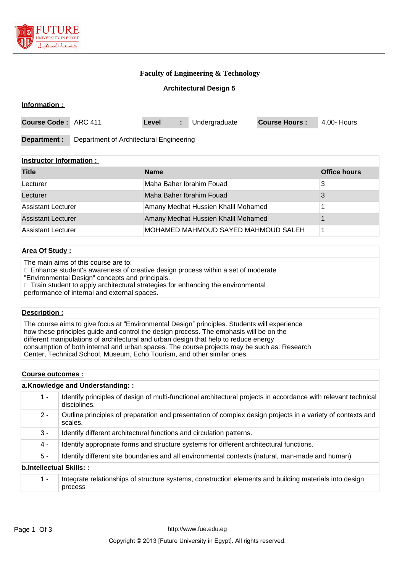

**Information :** 

# **Faculty of Engineering & Technology**

## **Architectural Design 5**

| Course Code: ARC 411 |                                         | Level | Undergraduate | <b>Course Hours:</b> | 4.00- Hours |
|----------------------|-----------------------------------------|-------|---------------|----------------------|-------------|
| Department :         | Department of Architectural Engineering |       |               |                      |             |

### **Instructor Information :**

| <b>Title</b>              | <b>Name</b>                          | <b>Office hours</b> |
|---------------------------|--------------------------------------|---------------------|
| Lecturer                  | Maha Baher Ibrahim Fouad             |                     |
| Lecturer                  | Maha Baher Ibrahim Fouad             |                     |
| Assistant Lecturer        | Amany Medhat Hussien Khalil Mohamed  |                     |
| <b>Assistant Lecturer</b> | Amany Medhat Hussien Khalil Mohamed  |                     |
| Assistant Lecturer        | IMOHAMED MAHMOUD SAYED MAHMOUD SALEH |                     |

## **Area Of Study :**

The main aims of this course are to:

Enhance student's awareness of creative design process within a set of moderate

"Environmental Design" concepts and principals.

□ Train student to apply architectural strategies for enhancing the environmental

performance of internal and external spaces.

## **Description :**

The course aims to give focus at "Environmental Design" principles. Students will experience how these principles guide and control the design process. The emphasis will be on the different manipulations of architectural and urban design that help to reduce energy consumption of both internal and urban spaces. The course projects may be such as: Research Center, Technical School, Museum, Echo Tourism, and other similar ones.

#### **Course outcomes :**

| a.Knowledge and Understanding:: |                                                                                                                                |  |  |
|---------------------------------|--------------------------------------------------------------------------------------------------------------------------------|--|--|
| 1 -                             | Identify principles of design of multi-functional architectural projects in accordance with relevant technical<br>disciplines. |  |  |
| $2 -$                           | Outline principles of preparation and presentation of complex design projects in a variety of contexts and<br>scales.          |  |  |
| $3 -$                           | Identify different architectural functions and circulation patterns.                                                           |  |  |
| 4 -                             | Identify appropriate forms and structure systems for different architectural functions.                                        |  |  |
| $5 -$                           | Identify different site boundaries and all environmental contexts (natural, man-made and human)                                |  |  |
| b.Intellectual Skills::         |                                                                                                                                |  |  |
| $1 -$                           | Integrate relationships of structure systems, construction elements and building materials into design<br>process              |  |  |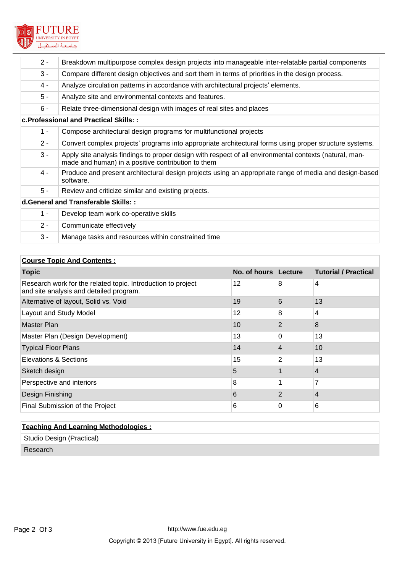

| $2 -$ | Breakdown multipurpose complex design projects into manageable inter-relatable partial components                                                             |  |  |  |
|-------|---------------------------------------------------------------------------------------------------------------------------------------------------------------|--|--|--|
| $3 -$ | Compare different design objectives and sort them in terms of priorities in the design process.                                                               |  |  |  |
| 4 -   | Analyze circulation patterns in accordance with architectural projects' elements.                                                                             |  |  |  |
| $5 -$ | Analyze site and environmental contexts and features.                                                                                                         |  |  |  |
| $6 -$ | Relate three-dimensional design with images of real sites and places                                                                                          |  |  |  |
|       | c. Professional and Practical Skills::                                                                                                                        |  |  |  |
| $1 -$ | Compose architectural design programs for multifunctional projects                                                                                            |  |  |  |
| $2 -$ | Convert complex projects' programs into appropriate architectural forms using proper structure systems.                                                       |  |  |  |
| $3 -$ | Apply site analysis findings to proper design with respect of all environmental contexts (natural, man-<br>made and human) in a positive contribution to them |  |  |  |
| 4 -   | Produce and present architectural design projects using an appropriate range of media and design-based<br>software.                                           |  |  |  |
| $5 -$ | Review and criticize similar and existing projects.                                                                                                           |  |  |  |
|       | d. General and Transferable Skills: :                                                                                                                         |  |  |  |
| $1 -$ | Develop team work co-operative skills                                                                                                                         |  |  |  |
| $2 -$ | Communicate effectively                                                                                                                                       |  |  |  |
| $3 -$ | Manage tasks and resources within constrained time                                                                                                            |  |  |  |

# **Course Topic And Contents :**

| <b>Topic</b>                                                                                            | No. of hours Lecture |                | <b>Tutorial / Practical</b> |
|---------------------------------------------------------------------------------------------------------|----------------------|----------------|-----------------------------|
| Research work for the related topic. Introduction to project<br>and site analysis and detailed program. | 12                   | 8              | $\overline{4}$              |
| Alternative of layout, Solid vs. Void                                                                   | 19                   | 6              | 13                          |
| <b>Layout and Study Model</b>                                                                           | 12                   | 8              | 4                           |
| <b>Master Plan</b>                                                                                      | 10                   | $\overline{2}$ | 8                           |
| Master Plan (Design Development)                                                                        | 13                   | 0              | 13                          |
| <b>Typical Floor Plans</b>                                                                              | 14                   | 4              | 10                          |
| Elevations & Sections                                                                                   | 15                   | 2              | 13                          |
| Sketch design                                                                                           | 5                    |                | $\overline{4}$              |
| Perspective and interiors                                                                               | 8                    |                | 7                           |
| Design Finishing                                                                                        | 6                    | 2              | 4                           |
| Final Submission of the Project                                                                         | 6                    | 0              | 6                           |

| <b>Teaching And Learning Methodologies:</b> |  |  |  |
|---------------------------------------------|--|--|--|
| Studio Design (Practical)                   |  |  |  |
| Research                                    |  |  |  |